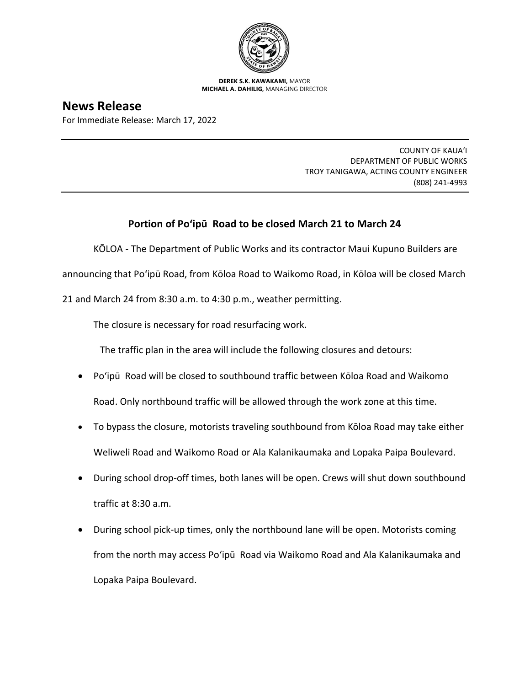

**DEREK S.K. KAWAKAMI,** MAYOR **MICHAEL A. DAHILIG,** MANAGING DIRECTOR

## **News Release**

For Immediate Release: March 17, 2022

COUNTY OF KAUA'I DEPARTMENT OF PUBLIC WORKS TROY TANIGAWA, ACTING COUNTY ENGINEER (808) 241-4993

## **Portion of Po'ipū Road to be closed March 21 to March 24**

KŌLOA - The Department of Public Works and its contractor Maui Kupuno Builders are

announcing that Po'ipū Road, from Kōloa Road to Waikomo Road, in Kōloa will be closed March

21 and March 24 from 8:30 a.m. to 4:30 p.m., weather permitting.

The closure is necessary for road resurfacing work.

The traffic plan in the area will include the following closures and detours:

- Po'ipū Road will be closed to southbound traffic between Kōloa Road and Waikomo Road. Only northbound traffic will be allowed through the work zone at this time.
- To bypass the closure, motorists traveling southbound from Kōloa Road may take either Weliweli Road and Waikomo Road or Ala Kalanikaumaka and Lopaka Paipa Boulevard.
- During school drop-off times, both lanes will be open. Crews will shut down southbound traffic at 8:30 a.m.
- During school pick-up times, only the northbound lane will be open. Motorists coming from the north may access Po'ipū Road via Waikomo Road and Ala Kalanikaumaka and Lopaka Paipa Boulevard.